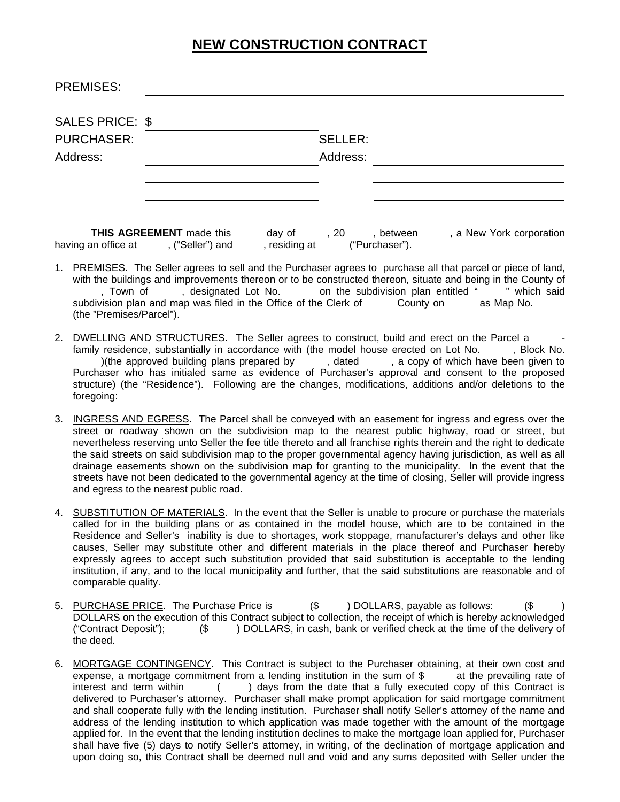## **NEW CONSTRUCTION CONTRACT**

| <b>PREMISES:</b>  |                |  |
|-------------------|----------------|--|
| SALES PRICE: \$   |                |  |
| <b>PURCHASER:</b> | <b>SELLER:</b> |  |
| Address:          | Address:       |  |
|                   |                |  |
|                   |                |  |
|                   |                |  |

**THIS AGREEMENT** made this day of , 20 , between , a New York corporation an office at , ("Seller") and , residing at ("Purchaser"). having an office at , ("Seller") and , residing at ("Purchaser").

- 1. PREMISES. The Seller agrees to sell and the Purchaser agrees to purchase all that parcel or piece of land, with the buildings and improvements thereon or to be constructed thereon, situate and being in the County of<br>Town of , designated Lot No. on the subdivision plan entitled " which said , Town of , designated Lot No. on the subdivision plan entitled " " which said subdivision plan and map was filed in the Office of the Clerk of County on as Map No. (the "Premises/Parcel").
- 2. DWELLING AND STRUCTURES. The Seller agrees to construct, build and erect on the Parcel a family residence, substantially in accordance with (the model house erected on Lot No. , Block No. )(the approved building plans prepared by , dated , a copy of which have been given to )(the approved building plans prepared by  $\qquad \qquad$ , dated , a copy of which have been given to Purchaser who has initialed same as evidence of Purchaser's approval and consent to the proposed structure) (the "Residence"). Following are the changes, modifications, additions and/or deletions to the foregoing:
- 3. INGRESS AND EGRESS. The Parcel shall be conveyed with an easement for ingress and egress over the street or roadway shown on the subdivision map to the nearest public highway, road or street, but nevertheless reserving unto Seller the fee title thereto and all franchise rights therein and the right to dedicate the said streets on said subdivision map to the proper governmental agency having jurisdiction, as well as all drainage easements shown on the subdivision map for granting to the municipality. In the event that the streets have not been dedicated to the governmental agency at the time of closing, Seller will provide ingress and egress to the nearest public road.
- 4. SUBSTITUTION OF MATERIALS. In the event that the Seller is unable to procure or purchase the materials called for in the building plans or as contained in the model house, which are to be contained in the Residence and Seller's inability is due to shortages, work stoppage, manufacturer's delays and other like causes, Seller may substitute other and different materials in the place thereof and Purchaser hereby expressly agrees to accept such substitution provided that said substitution is acceptable to the lending institution, if any, and to the local municipality and further, that the said substitutions are reasonable and of comparable quality.
- 5. PURCHASE PRICE. The Purchase Price is  $($  \$ ) DOLLARS, payable as follows:  $($  \$ DOLLARS on the execution of this Contract subject to collection, the receipt of which is hereby acknowledged ("Contract Deposit"); (\$ ) DOLLARS, in cash, bank or verified check at the time of the delivery of the deed.
- 6. MORTGAGE CONTINGENCY. This Contract is subject to the Purchaser obtaining, at their own cost and expense, a mortgage commitment from a lending institution in the sum of  $\frac{1}{2}$  at the prevailing rate of interest and term within  $($ ) days from the date that a fully executed copy of this Contract is delivered to Purchaser's attorney. Purchaser shall make prompt application for said mortgage commitment and shall cooperate fully with the lending institution. Purchaser shall notify Seller's attorney of the name and address of the lending institution to which application was made together with the amount of the mortgage applied for. In the event that the lending institution declines to make the mortgage loan applied for, Purchaser shall have five (5) days to notify Seller's attorney, in writing, of the declination of mortgage application and upon doing so, this Contract shall be deemed null and void and any sums deposited with Seller under the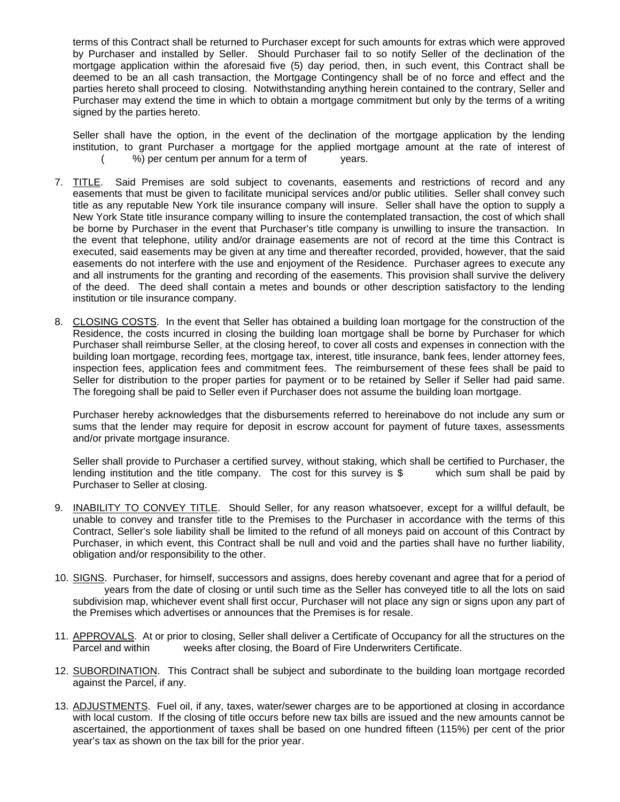terms of this Contract shall be returned to Purchaser except for such amounts for extras which were approved by Purchaser and installed by Seller. Should Purchaser fail to so notify Seller of the declination of the mortgage application within the aforesaid five (5) day period, then, in such event, this Contract shall be deemed to be an all cash transaction, the Mortgage Contingency shall be of no force and effect and the parties hereto shall proceed to closing. Notwithstanding anything herein contained to the contrary, Seller and Purchaser may extend the time in which to obtain a mortgage commitment but only by the terms of a writing signed by the parties hereto.

Seller shall have the option, in the event of the declination of the mortgage application by the lending institution, to grant Purchaser a mortgage for the applied mortgage amount at the rate of interest of ( %) per centum per annum for a term of years.

- 7. TITLE. Said Premises are sold subject to covenants, easements and restrictions of record and any easements that must be given to facilitate municipal services and/or public utilities. Seller shall convey such title as any reputable New York tile insurance company will insure. Seller shall have the option to supply a New York State title insurance company willing to insure the contemplated transaction, the cost of which shall be borne by Purchaser in the event that Purchaser's title company is unwilling to insure the transaction. In the event that telephone, utility and/or drainage easements are not of record at the time this Contract is executed, said easements may be given at any time and thereafter recorded, provided, however, that the said easements do not interfere with the use and enjoyment of the Residence. Purchaser agrees to execute any and all instruments for the granting and recording of the easements. This provision shall survive the delivery of the deed. The deed shall contain a metes and bounds or other description satisfactory to the lending institution or tile insurance company.
- 8. CLOSING COSTS. In the event that Seller has obtained a building loan mortgage for the construction of the Residence, the costs incurred in closing the building loan mortgage shall be borne by Purchaser for which Purchaser shall reimburse Seller, at the closing hereof, to cover all costs and expenses in connection with the building loan mortgage, recording fees, mortgage tax, interest, title insurance, bank fees, lender attorney fees, inspection fees, application fees and commitment fees. The reimbursement of these fees shall be paid to Seller for distribution to the proper parties for payment or to be retained by Seller if Seller had paid same. The foregoing shall be paid to Seller even if Purchaser does not assume the building loan mortgage.

Purchaser hereby acknowledges that the disbursements referred to hereinabove do not include any sum or sums that the lender may require for deposit in escrow account for payment of future taxes, assessments and/or private mortgage insurance.

Seller shall provide to Purchaser a certified survey, without staking, which shall be certified to Purchaser, the lending institution and the title company. The cost for this survey is \$ which sum shall be paid by Purchaser to Seller at closing.

- 9. INABILITY TO CONVEY TITLE. Should Seller, for any reason whatsoever, except for a willful default, be unable to convey and transfer title to the Premises to the Purchaser in accordance with the terms of this Contract, Seller's sole liability shall be limited to the refund of all moneys paid on account of this Contract by Purchaser, in which event, this Contract shall be null and void and the parties shall have no further liability, obligation and/or responsibility to the other.
- 10. SIGNS. Purchaser, for himself, successors and assigns, does hereby covenant and agree that for a period of years from the date of closing or until such time as the Seller has conveyed title to all the lots on said subdivision map, whichever event shall first occur, Purchaser will not place any sign or signs upon any part of the Premises which advertises or announces that the Premises is for resale.
- 11. APPROVALS. At or prior to closing, Seller shall deliver a Certificate of Occupancy for all the structures on the Parcel and within weeks after closing, the Board of Fire Underwriters Certificate.
- 12. SUBORDINATION. This Contract shall be subject and subordinate to the building loan mortgage recorded against the Parcel, if any.
- 13. ADJUSTMENTS. Fuel oil, if any, taxes, water/sewer charges are to be apportioned at closing in accordance with local custom. If the closing of title occurs before new tax bills are issued and the new amounts cannot be ascertained, the apportionment of taxes shall be based on one hundred fifteen (115%) per cent of the prior year's tax as shown on the tax bill for the prior year.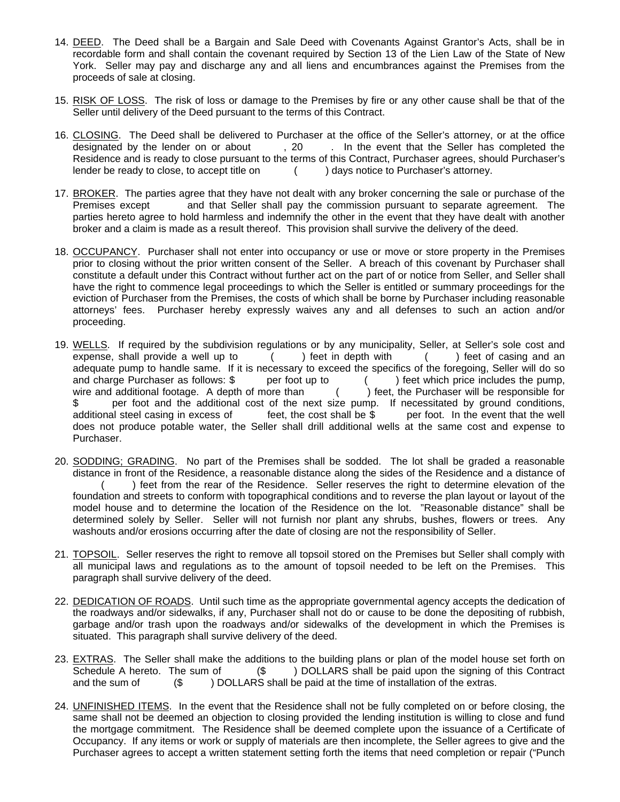- 14. DEED. The Deed shall be a Bargain and Sale Deed with Covenants Against Grantor's Acts, shall be in recordable form and shall contain the covenant required by Section 13 of the Lien Law of the State of New York. Seller may pay and discharge any and all liens and encumbrances against the Premises from the proceeds of sale at closing.
- 15. RISK OF LOSS. The risk of loss or damage to the Premises by fire or any other cause shall be that of the Seller until delivery of the Deed pursuant to the terms of this Contract.
- 16. CLOSING. The Deed shall be delivered to Purchaser at the office of the Seller's attorney, or at the office designated by the lender on or about , 20 . In the event that the Seller has completed the Residence and is ready to close pursuant to the terms of this Contract, Purchaser agrees, should Purchaser's lender be ready to close, to accept title on  $($ ) days notice to Purchaser's attorney.
- 17. BROKER. The parties agree that they have not dealt with any broker concerning the sale or purchase of the Premises except and that Seller shall pay the commission pursuant to separate agreement. The parties hereto agree to hold harmless and indemnify the other in the event that they have dealt with another broker and a claim is made as a result thereof. This provision shall survive the delivery of the deed.
- 18. OCCUPANCY. Purchaser shall not enter into occupancy or use or move or store property in the Premises prior to closing without the prior written consent of the Seller. A breach of this covenant by Purchaser shall constitute a default under this Contract without further act on the part of or notice from Seller, and Seller shall have the right to commence legal proceedings to which the Seller is entitled or summary proceedings for the eviction of Purchaser from the Premises, the costs of which shall be borne by Purchaser including reasonable attorneys' fees. Purchaser hereby expressly waives any and all defenses to such an action and/or proceeding.
- 19. WELLS. If required by the subdivision regulations or by any municipality, Seller, at Seller's sole cost and expense, shall provide a well up to ( ) feet in depth with ( ) feet of casing and an adequate pump to handle same. If it is necessary to exceed the specifics of the foregoing, Seller will do so and charge Purchaser as follows: \$ per foot up to () feet which price includes the pump. and charge Purchaser as follows: \$ per foot up to () feet which price includes the pump, wire and additional footage. A depth of more than () feet, the Purchaser will be responsible for \$ per foot and the additional cost of the next size pump. If necessitated by ground conditions,<br>additional steel casing in excess of feet, the cost shall be \$ per foot. In the event that the well additional steel casing in excess of feet, the cost shall be \$ per foot. In the event that the well does not produce potable water, the Seller shall drill additional wells at the same cost and expense to Purchaser.
- 20. SODDING; GRADING. No part of the Premises shall be sodded. The lot shall be graded a reasonable distance in front of the Residence, a reasonable distance along the sides of the Residence and a distance of ) feet from the rear of the Residence. Seller reserves the right to determine elevation of the foundation and streets to conform with topographical conditions and to reverse the plan layout or layout of the model house and to determine the location of the Residence on the lot. "Reasonable distance" shall be determined solely by Seller. Seller will not furnish nor plant any shrubs, bushes, flowers or trees. Any washouts and/or erosions occurring after the date of closing are not the responsibility of Seller.
- 21. TOPSOIL. Seller reserves the right to remove all topsoil stored on the Premises but Seller shall comply with all municipal laws and regulations as to the amount of topsoil needed to be left on the Premises. This paragraph shall survive delivery of the deed.
- 22. DEDICATION OF ROADS. Until such time as the appropriate governmental agency accepts the dedication of the roadways and/or sidewalks, if any, Purchaser shall not do or cause to be done the depositing of rubbish, garbage and/or trash upon the roadways and/or sidewalks of the development in which the Premises is situated. This paragraph shall survive delivery of the deed.
- 23. EXTRAS. The Seller shall make the additions to the building plans or plan of the model house set forth on Schedule A hereto. The sum of (\$) DOLLARS shall be paid upon the signing of this Contract and the sum of  $(\$$  ) DOLLARS shall be paid at the time of installation of the extras.
- 24. UNFINISHED ITEMS. In the event that the Residence shall not be fully completed on or before closing, the same shall not be deemed an objection to closing provided the lending institution is willing to close and fund the mortgage commitment. The Residence shall be deemed complete upon the issuance of a Certificate of Occupancy. If any items or work or supply of materials are then incomplete, the Seller agrees to give and the Purchaser agrees to accept a written statement setting forth the items that need completion or repair ("Punch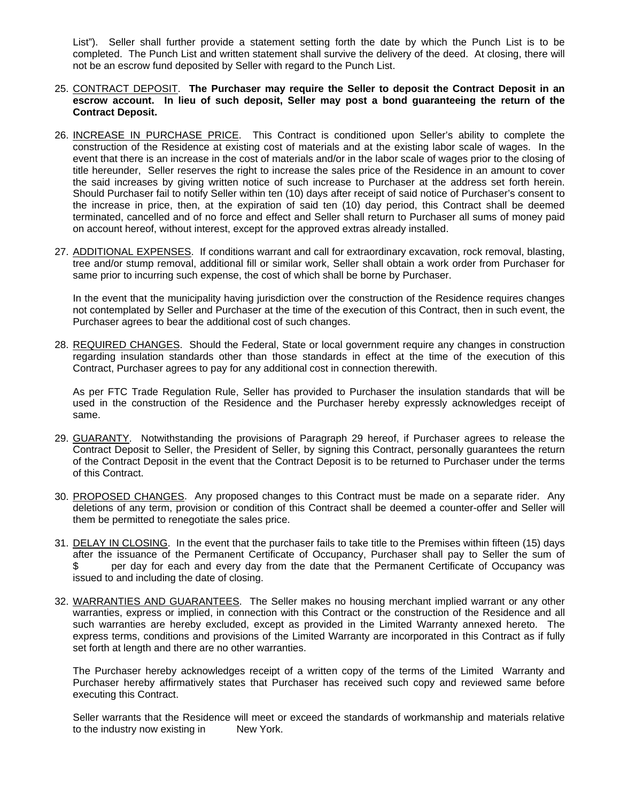List"). Seller shall further provide a statement setting forth the date by which the Punch List is to be completed. The Punch List and written statement shall survive the delivery of the deed. At closing, there will not be an escrow fund deposited by Seller with regard to the Punch List.

## 25. CONTRACT DEPOSIT. **The Purchaser may require the Seller to deposit the Contract Deposit in an escrow account. In lieu of such deposit, Seller may post a bond guaranteeing the return of the Contract Deposit.**

- 26. INCREASE IN PURCHASE PRICE. This Contract is conditioned upon Seller's ability to complete the construction of the Residence at existing cost of materials and at the existing labor scale of wages. In the event that there is an increase in the cost of materials and/or in the labor scale of wages prior to the closing of title hereunder, Seller reserves the right to increase the sales price of the Residence in an amount to cover the said increases by giving written notice of such increase to Purchaser at the address set forth herein. Should Purchaser fail to notify Seller within ten (10) days after receipt of said notice of Purchaser's consent to the increase in price, then, at the expiration of said ten (10) day period, this Contract shall be deemed terminated, cancelled and of no force and effect and Seller shall return to Purchaser all sums of money paid on account hereof, without interest, except for the approved extras already installed.
- 27. ADDITIONAL EXPENSES. If conditions warrant and call for extraordinary excavation, rock removal, blasting, tree and/or stump removal, additional fill or similar work, Seller shall obtain a work order from Purchaser for same prior to incurring such expense, the cost of which shall be borne by Purchaser.

In the event that the municipality having jurisdiction over the construction of the Residence requires changes not contemplated by Seller and Purchaser at the time of the execution of this Contract, then in such event, the Purchaser agrees to bear the additional cost of such changes.

28. REQUIRED CHANGES. Should the Federal, State or local government require any changes in construction regarding insulation standards other than those standards in effect at the time of the execution of this Contract, Purchaser agrees to pay for any additional cost in connection therewith.

As per FTC Trade Regulation Rule, Seller has provided to Purchaser the insulation standards that will be used in the construction of the Residence and the Purchaser hereby expressly acknowledges receipt of same.

- 29. GUARANTY. Notwithstanding the provisions of Paragraph 29 hereof, if Purchaser agrees to release the Contract Deposit to Seller, the President of Seller, by signing this Contract, personally guarantees the return of the Contract Deposit in the event that the Contract Deposit is to be returned to Purchaser under the terms of this Contract.
- 30. PROPOSED CHANGES. Any proposed changes to this Contract must be made on a separate rider. Any deletions of any term, provision or condition of this Contract shall be deemed a counter-offer and Seller will them be permitted to renegotiate the sales price.
- 31. DELAY IN CLOSING. In the event that the purchaser fails to take title to the Premises within fifteen (15) days after the issuance of the Permanent Certificate of Occupancy, Purchaser shall pay to Seller the sum of \$ per day for each and every day from the date that the Permanent Certificate of Occupancy was issued to and including the date of closing.
- 32. WARRANTIES AND GUARANTEES. The Seller makes no housing merchant implied warrant or any other warranties, express or implied, in connection with this Contract or the construction of the Residence and all such warranties are hereby excluded, except as provided in the Limited Warranty annexed hereto. The express terms, conditions and provisions of the Limited Warranty are incorporated in this Contract as if fully set forth at length and there are no other warranties.

The Purchaser hereby acknowledges receipt of a written copy of the terms of the Limited Warranty and Purchaser hereby affirmatively states that Purchaser has received such copy and reviewed same before executing this Contract.

Seller warrants that the Residence will meet or exceed the standards of workmanship and materials relative to the industry now existing in New York.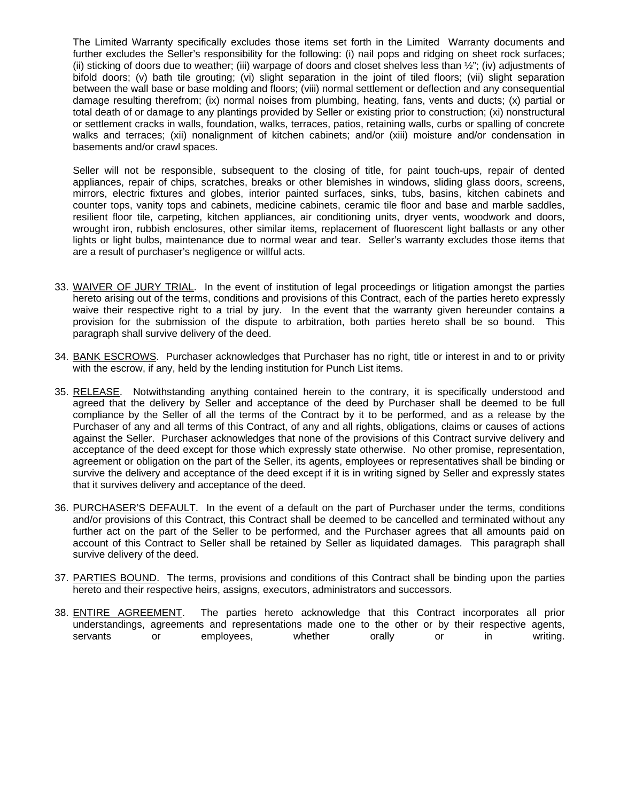The Limited Warranty specifically excludes those items set forth in the Limited Warranty documents and further excludes the Seller's responsibility for the following: (i) nail pops and ridging on sheet rock surfaces; (ii) sticking of doors due to weather; (iii) warpage of doors and closet shelves less than  $\frac{1}{2}$ "; (iv) adjustments of bifold doors; (v) bath tile grouting; (vi) slight separation in the joint of tiled floors; (vii) slight separation between the wall base or base molding and floors; (viii) normal settlement or deflection and any consequential damage resulting therefrom; (ix) normal noises from plumbing, heating, fans, vents and ducts; (x) partial or total death of or damage to any plantings provided by Seller or existing prior to construction; (xi) nonstructural or settlement cracks in walls, foundation, walks, terraces, patios, retaining walls, curbs or spalling of concrete walks and terraces; (xii) nonalignment of kitchen cabinets; and/or (xiii) moisture and/or condensation in basements and/or crawl spaces.

Seller will not be responsible, subsequent to the closing of title, for paint touch-ups, repair of dented appliances, repair of chips, scratches, breaks or other blemishes in windows, sliding glass doors, screens, mirrors, electric fixtures and globes, interior painted surfaces, sinks, tubs, basins, kitchen cabinets and counter tops, vanity tops and cabinets, medicine cabinets, ceramic tile floor and base and marble saddles, resilient floor tile, carpeting, kitchen appliances, air conditioning units, dryer vents, woodwork and doors, wrought iron, rubbish enclosures, other similar items, replacement of fluorescent light ballasts or any other lights or light bulbs, maintenance due to normal wear and tear. Seller's warranty excludes those items that are a result of purchaser's negligence or willful acts.

- 33. WAIVER OF JURY TRIAL. In the event of institution of legal proceedings or litigation amongst the parties hereto arising out of the terms, conditions and provisions of this Contract, each of the parties hereto expressly waive their respective right to a trial by jury. In the event that the warranty given hereunder contains a provision for the submission of the dispute to arbitration, both parties hereto shall be so bound. This paragraph shall survive delivery of the deed.
- 34. BANK ESCROWS. Purchaser acknowledges that Purchaser has no right, title or interest in and to or privity with the escrow, if any, held by the lending institution for Punch List items.
- 35. RELEASE. Notwithstanding anything contained herein to the contrary, it is specifically understood and agreed that the delivery by Seller and acceptance of the deed by Purchaser shall be deemed to be full compliance by the Seller of all the terms of the Contract by it to be performed, and as a release by the Purchaser of any and all terms of this Contract, of any and all rights, obligations, claims or causes of actions against the Seller. Purchaser acknowledges that none of the provisions of this Contract survive delivery and acceptance of the deed except for those which expressly state otherwise. No other promise, representation, agreement or obligation on the part of the Seller, its agents, employees or representatives shall be binding or survive the delivery and acceptance of the deed except if it is in writing signed by Seller and expressly states that it survives delivery and acceptance of the deed.
- 36. PURCHASER'S DEFAULT. In the event of a default on the part of Purchaser under the terms, conditions and/or provisions of this Contract, this Contract shall be deemed to be cancelled and terminated without any further act on the part of the Seller to be performed, and the Purchaser agrees that all amounts paid on account of this Contract to Seller shall be retained by Seller as liquidated damages. This paragraph shall survive delivery of the deed.
- 37. PARTIES BOUND. The terms, provisions and conditions of this Contract shall be binding upon the parties hereto and their respective heirs, assigns, executors, administrators and successors.
- 38. **ENTIRE AGREEMENT**. The parties hereto acknowledge that this Contract incorporates all prior understandings, agreements and representations made one to the other or by their respective agents, servants or employees, whether orally or in writing.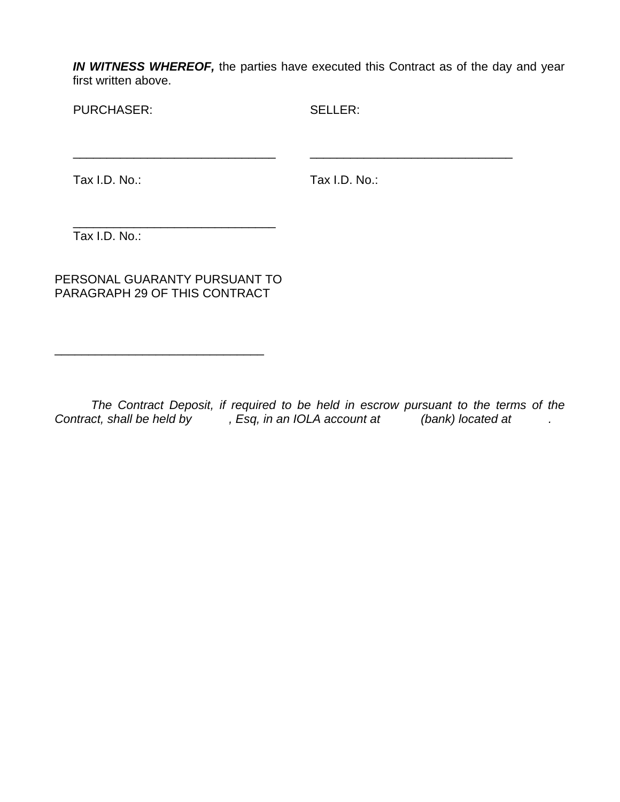*IN WITNESS WHEREOF,* the parties have executed this Contract as of the day and year first written above.

PURCHASER:

SELLER:

Tax I.D. No.:

Tax I.D. No.:

\_\_\_\_\_\_\_\_\_\_\_\_\_\_\_\_\_\_\_\_\_\_\_\_\_\_\_\_\_\_

\_\_\_\_\_\_\_\_\_\_\_\_\_\_\_\_\_\_\_\_\_\_\_\_\_\_\_\_\_\_ Tax I.D. No.:

PERSONAL GUARANTY PURSUANT TO PARAGRAPH 29 OF THIS CONTRACT

\_\_\_\_\_\_\_\_\_\_\_\_\_\_\_\_\_\_\_\_\_\_\_\_\_\_\_\_\_\_\_

\_\_\_\_\_\_\_\_\_\_\_\_\_\_\_\_\_\_\_\_\_\_\_\_\_\_\_\_\_\_

*The Contract Deposit, if required to be held in escrow pursuant to the terms of the Contract, shall be held by* , Esq, in an IOLA account at (bank) located at .